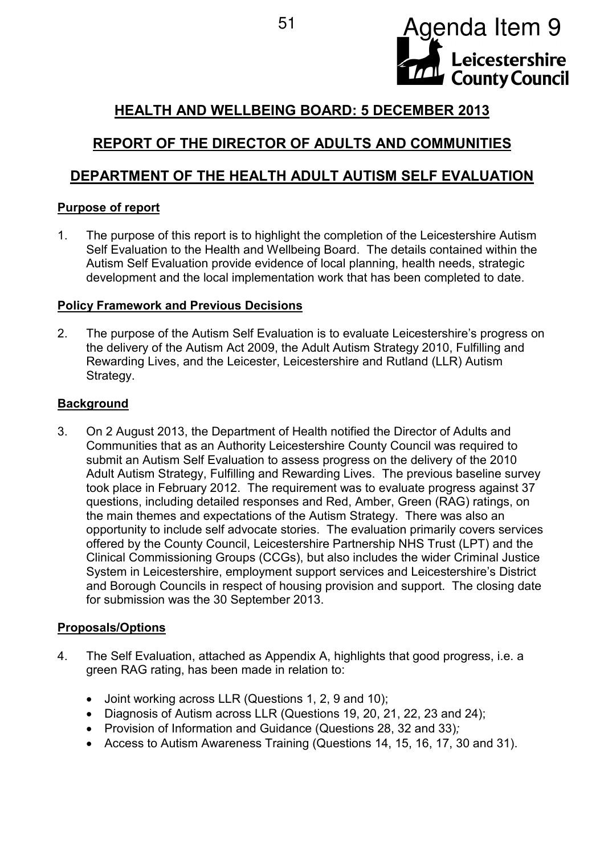

# **HEALTH AND WELLBEING BOARD: 5 DECEMBER 2013**

# **REPORT OF THE DIRECTOR OF ADULTS AND COMMUNITIES**

## **DEPARTMENT OF THE HEALTH ADULT AUTISM SELF EVALUATION**

## **Purpose of report**

1. The purpose of this report is to highlight the completion of the Leicestershire Autism Self Evaluation to the Health and Wellbeing Board. The details contained within the Autism Self Evaluation provide evidence of local planning, health needs, strategic development and the local implementation work that has been completed to date.

## **Policy Framework and Previous Decisions**

2. The purpose of the Autism Self Evaluation is to evaluate Leicestershire's progress on the delivery of the Autism Act 2009, the Adult Autism Strategy 2010, Fulfilling and Rewarding Lives, and the Leicester, Leicestershire and Rutland (LLR) Autism Strategy.

## **Background**

3. On 2 August 2013, the Department of Health notified the Director of Adults and Communities that as an Authority Leicestershire County Council was required to submit an Autism Self Evaluation to assess progress on the delivery of the 2010 Adult Autism Strategy, Fulfilling and Rewarding Lives. The previous baseline survey took place in February 2012. The requirement was to evaluate progress against 37 questions, including detailed responses and Red, Amber, Green (RAG) ratings, on the main themes and expectations of the Autism Strategy. There was also an opportunity to include self advocate stories. The evaluation primarily covers services offered by the County Council, Leicestershire Partnership NHS Trust (LPT) and the Clinical Commissioning Groups (CCGs), but also includes the wider Criminal Justice System in Leicestershire, employment support services and Leicestershire's District and Borough Councils in respect of housing provision and support. The closing date for submission was the 30 September 2013.

## **Proposals/Options**

- 4. The Self Evaluation, attached as Appendix A, highlights that good progress, i.e. a green RAG rating, has been made in relation to:
	- Joint working across LLR (Questions 1, 2, 9 and 10);
	- Diagnosis of Autism across LLR (Questions 19, 20, 21, 22, 23 and 24);
	- Provision of Information and Guidance (Questions 28, 32 and 33)*;*
	- Access to Autism Awareness Training (Questions 14, 15, 16, 17, 30 and 31).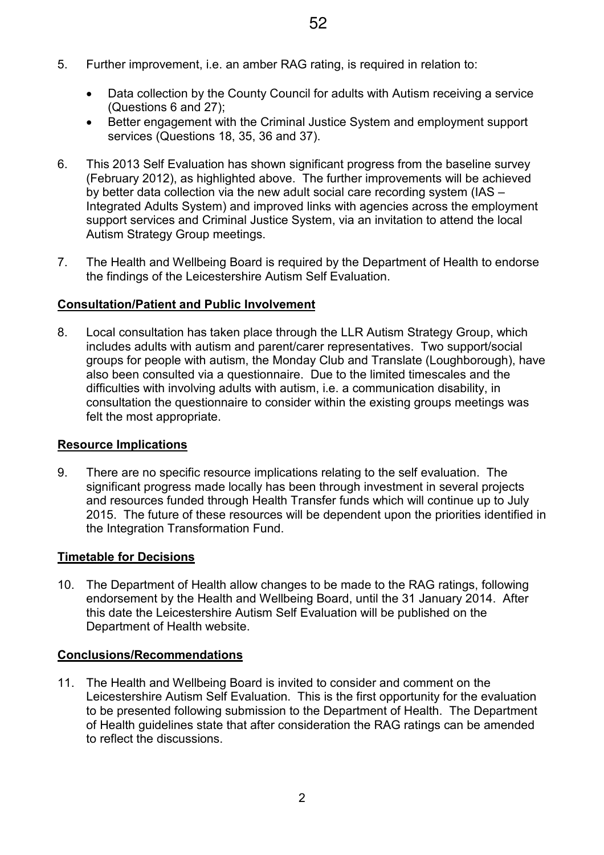- 5. Further improvement, i.e. an amber RAG rating, is required in relation to:
	- Data collection by the County Council for adults with Autism receiving a service (Questions 6 and 27);
	- Better engagement with the Criminal Justice System and employment support services (Questions 18, 35, 36 and 37).
- 6. This 2013 Self Evaluation has shown significant progress from the baseline survey (February 2012), as highlighted above. The further improvements will be achieved by better data collection via the new adult social care recording system (IAS – Integrated Adults System) and improved links with agencies across the employment support services and Criminal Justice System, via an invitation to attend the local Autism Strategy Group meetings.
- 7. The Health and Wellbeing Board is required by the Department of Health to endorse the findings of the Leicestershire Autism Self Evaluation.

## **Consultation/Patient and Public Involvement**

8. Local consultation has taken place through the LLR Autism Strategy Group, which includes adults with autism and parent/carer representatives. Two support/social groups for people with autism, the Monday Club and Translate (Loughborough), have also been consulted via a questionnaire. Due to the limited timescales and the difficulties with involving adults with autism, i.e. a communication disability, in consultation the questionnaire to consider within the existing groups meetings was felt the most appropriate.

### **Resource Implications**

9. There are no specific resource implications relating to the self evaluation. The significant progress made locally has been through investment in several projects and resources funded through Health Transfer funds which will continue up to July 2015. The future of these resources will be dependent upon the priorities identified in the Integration Transformation Fund.

## **Timetable for Decisions**

10. The Department of Health allow changes to be made to the RAG ratings, following endorsement by the Health and Wellbeing Board, until the 31 January 2014. After this date the Leicestershire Autism Self Evaluation will be published on the Department of Health website.

### **Conclusions/Recommendations**

11. The Health and Wellbeing Board is invited to consider and comment on the Leicestershire Autism Self Evaluation. This is the first opportunity for the evaluation to be presented following submission to the Department of Health. The Department of Health guidelines state that after consideration the RAG ratings can be amended to reflect the discussions.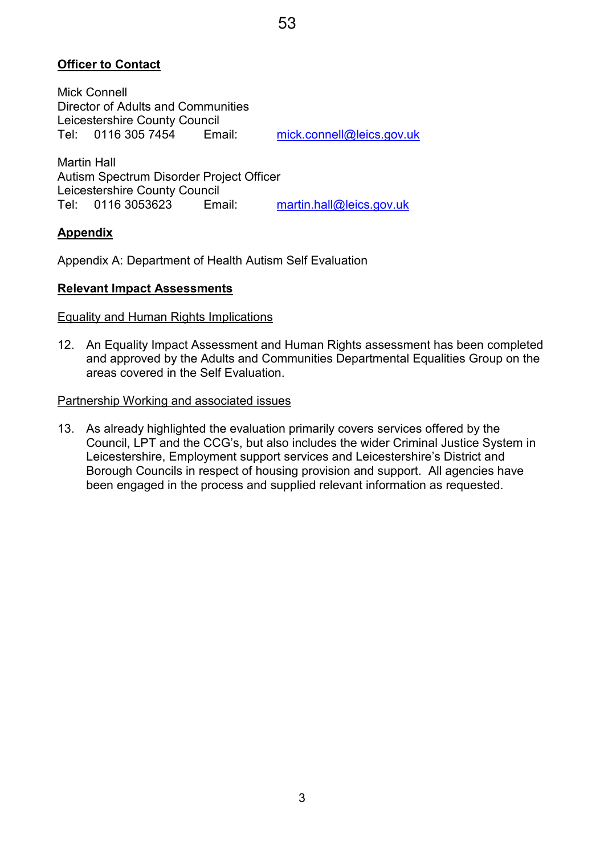## **Officer to Contact**

Mick Connell Director of Adults and Communities Leicestershire County Council Tel: 0116 305 7454 Email: mick.connell@leics.gov.uk

Martin Hall Autism Spectrum Disorder Project Officer Leicestershire County Council Tel: 0116 3053623 Email: martin.hall@leics.gov.uk

#### **Appendix**

Appendix A: Department of Health Autism Self Evaluation

#### **Relevant Impact Assessments**

#### Equality and Human Rights Implications

12. An Equality Impact Assessment and Human Rights assessment has been completed and approved by the Adults and Communities Departmental Equalities Group on the areas covered in the Self Evaluation.

#### Partnership Working and associated issues

13. As already highlighted the evaluation primarily covers services offered by the Council, LPT and the CCG's, but also includes the wider Criminal Justice System in Leicestershire, Employment support services and Leicestershire's District and Borough Councils in respect of housing provision and support. All agencies have been engaged in the process and supplied relevant information as requested.